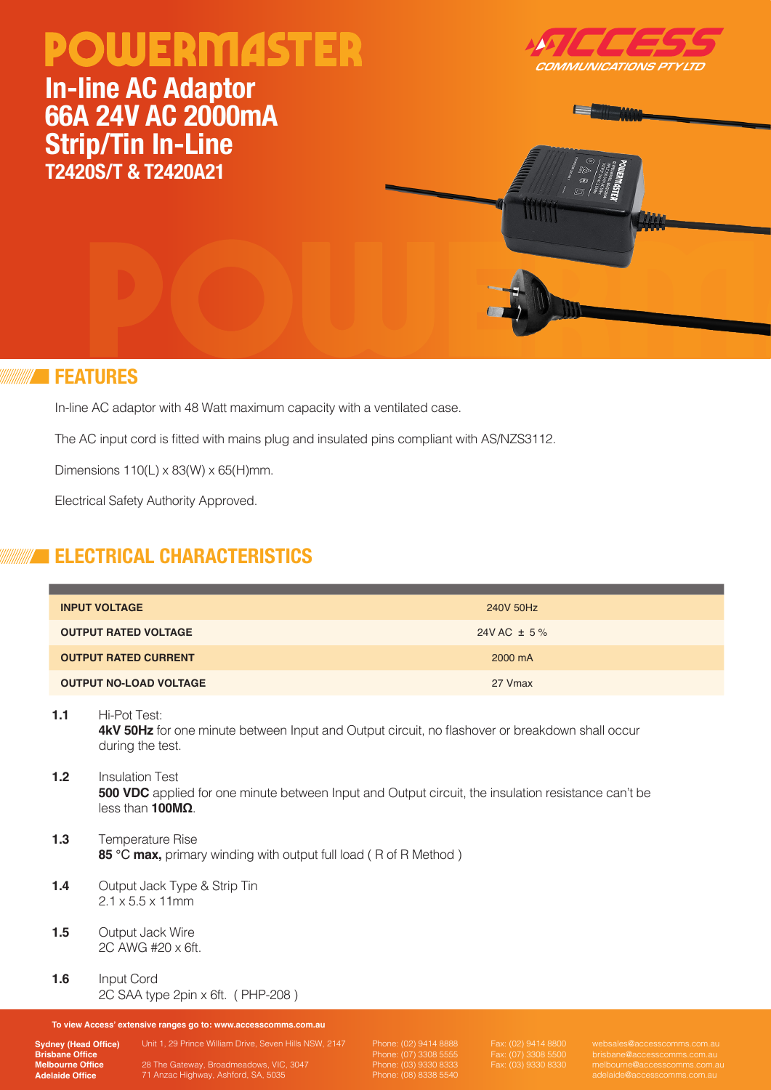# **POWERMASTER**

## **In-line AC Adaptor 66A 24V AC 2000mA Strip/Tin In-Line T2420S/T & T2420A21**





#### **FEATURES**

In-line AC adaptor with 48 Watt maximum capacity with a ventilated case.

The AC input cord is fitted with mains plug and insulated pins compliant with AS/NZS3112.

Dimensions  $110(L) \times 83(W) \times 65(H)$ mm.

Electrical Safety Authority Approved.

### **ELECTRICAL CHARACTERISTICS**

| <b>INPUT VOLTAGE</b>          | 240V 50Hz       |
|-------------------------------|-----------------|
| <b>OUTPUT RATED VOLTAGE</b>   | 24V AC $\pm$ 5% |
| <b>OUTPUT RATED CURRENT</b>   | 2000 mA         |
| <b>OUTPUT NO-LOAD VOLTAGE</b> | 27 Vmax         |

#### **1.1** Hi-Pot Test:

**4kV 50Hz** for one minute between Input and Output circuit, no flashover or breakdown shall occur during the test.

- **1.2** Insulation Test **500 VDC** applied for one minute between Input and Output circuit, the insulation resistance can't be less than **100MΩ**.
- **1.3** Temperature Rise **85** ℃ **max,** primary winding with output full load ( R of R Method )
- **1.4** Output Jack Type & Strip Tin 2.1 x 5.5 x 11mm
- **1.5** Output Jack Wire 2C AWG #20 x 6ft.
- **1.6** Input Cord 2C SAA type 2pin x 6ft. ( PHP-208 )

**To view Access' extensive ranges go to: www.accesscomms.com.au**

**Sydney (Head Office) Brisbane Office Melbourne Office Adelaide Office**

71 Anzac Highway, Ashford, SA, 5035

Unit 1, 29 Prince William Drive, Seven Hills NSW, 2147

Phone: (02) 9414 8888 Phone: (07) 3308 5555 Phone: (08) 8338 5540 Fax: (07) 3308 5500 Fax: (03) 9330 8330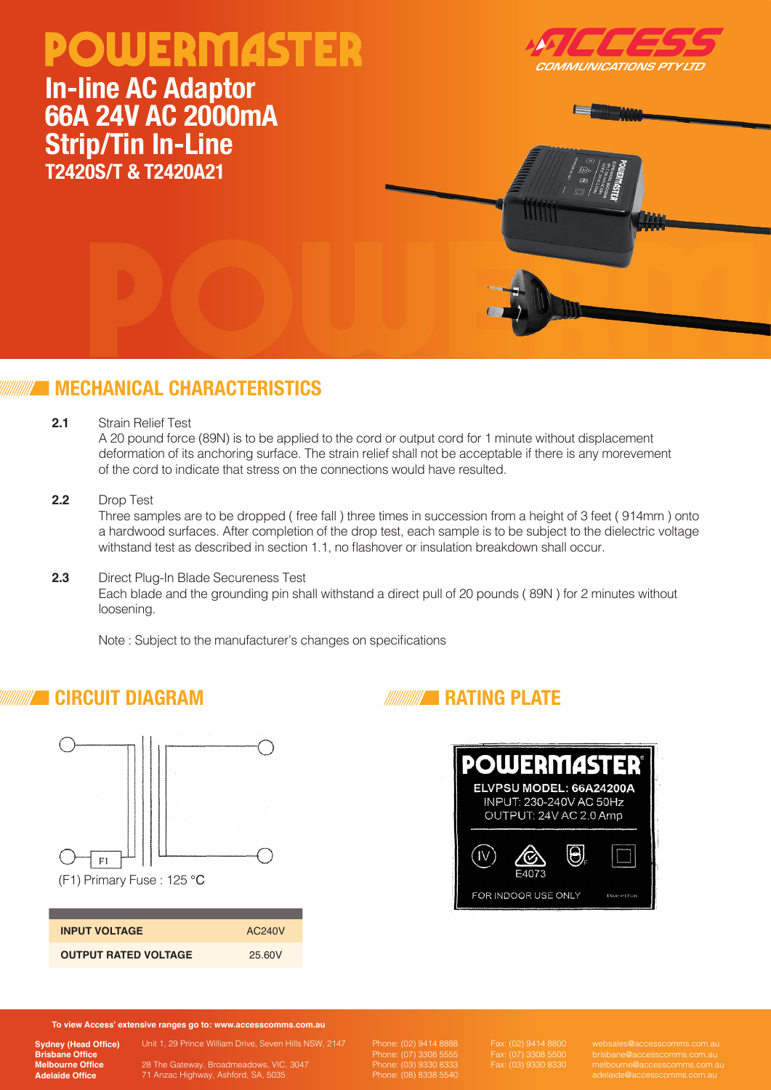# **POWERMASTER** OMMUNICATIONS PTY LTD **In-line AC Adaptor 66A 24V AC 2000mA Strip/Tin In-Line T2420S/T & T2420A21**

### **MECHANICAL CHARACTERISTICS**

**2.1** Strain Relief Test

A 20 pound force (89N) is to be applied to the cord or output cord for 1 minute without displacement deformation of its anchoring surface. The strain relief shall not be acceptable if there is any morevement of the cord to indicate that stress on the connections would have resulted.

**2.2** Drop Test

Three samples are to be dropped ( free fall ) three times in succession from a height of 3 feet ( 914mm ) onto a hardwood surfaces. After completion of the drop test, each sample is to be subject to the dielectric voltage withstand test as described in section 1.1, no flashover or insulation breakdown shall occur.

**2.3** Direct Plug-In Blade Secureness Test Each blade and the grounding pin shall withstand a direct pull of 20 pounds ( 89N ) for 2 minutes without loosening.

Note : Subject to the manufacturer's changes on specifications

### **CIRCUIT DIAGRAM**



| <b>INPUT VOLTAGE</b>        | AC240V |
|-----------------------------|--------|
| <b>OUTPUT RATED VOLTAGE</b> | 25.60V |



**To view Access' extensive ranges go to: www.accesscomms.com.au**

**Sydney (Head Office) Brisbane Office Melbourne Office Adelaide Office**

Unit 1, 29 Prince William Drive, Seven Hills NSW, 2147 71 Anzac Highway, Ashford, SA, 5035

Phone: (02) 9414 8888 Phone: (07) 3308 5555 Phone: (08) 8338 5540 Fax: (07) 3308 5500 Fax: (03) 9330 8330

**RATING PLATE**